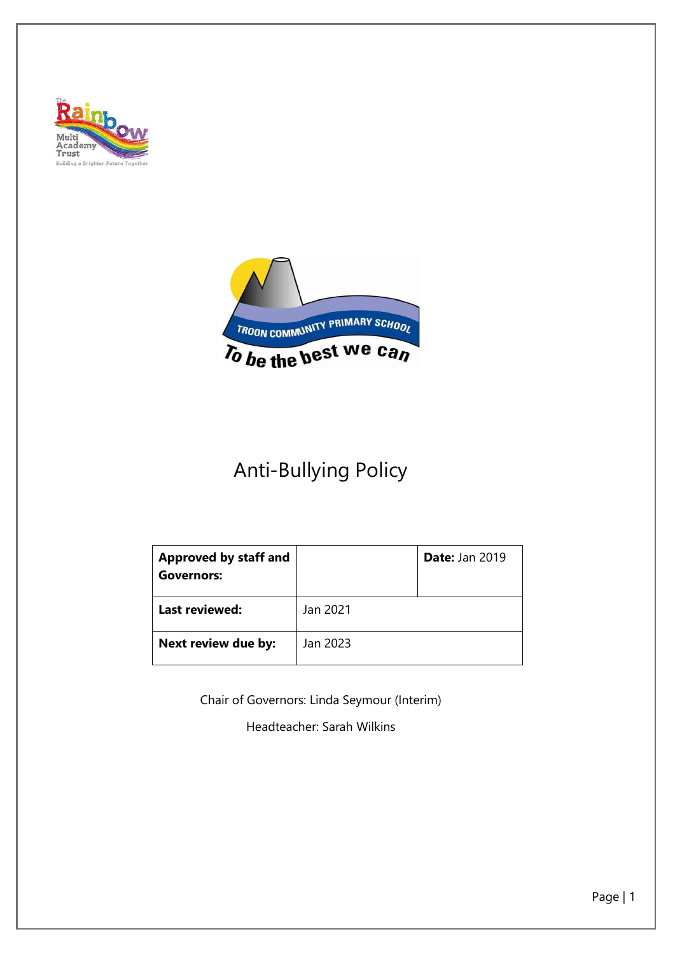



# Anti-Bullying Policy

| <b>Approved by staff and</b><br><b>Governors:</b> |          | <b>Date: Jan 2019</b> |
|---------------------------------------------------|----------|-----------------------|
| <b>Last reviewed:</b>                             | Jan 2021 |                       |
| Next review due by:                               | Jan 2023 |                       |

Chair of Governors: Linda Seymour (Interim)

Headteacher: Sarah Wilkins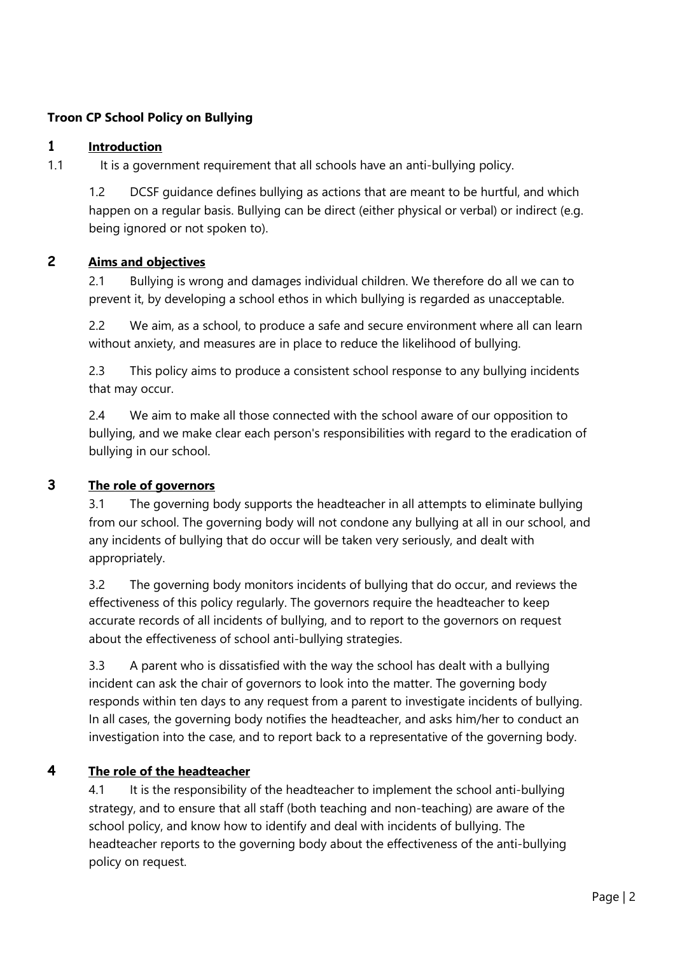#### **Troon CP School Policy on Bullying**

#### **1 Introduction**

1.1 It is a government requirement that all schools have an anti-bullying policy.

1.2 DCSF guidance defines bullying as actions that are meant to be hurtful, and which happen on a regular basis. Bullying can be direct (either physical or verbal) or indirect (e.g. being ignored or not spoken to).

# **2 Aims and objectives**

2.1 Bullying is wrong and damages individual children. We therefore do all we can to prevent it, by developing a school ethos in which bullying is regarded as unacceptable.

2.2 We aim, as a school, to produce a safe and secure environment where all can learn without anxiety, and measures are in place to reduce the likelihood of bullying.

2.3 This policy aims to produce a consistent school response to any bullying incidents that may occur.

2.4 We aim to make all those connected with the school aware of our opposition to bullying, and we make clear each person's responsibilities with regard to the eradication of bullying in our school.

#### **3 The role of governors**

3.1 The governing body supports the headteacher in all attempts to eliminate bullying from our school. The governing body will not condone any bullying at all in our school, and any incidents of bullying that do occur will be taken very seriously, and dealt with appropriately.

3.2 The governing body monitors incidents of bullying that do occur, and reviews the effectiveness of this policy regularly. The governors require the headteacher to keep accurate records of all incidents of bullying, and to report to the governors on request about the effectiveness of school anti-bullying strategies.

3.3 A parent who is dissatisfied with the way the school has dealt with a bullying incident can ask the chair of governors to look into the matter. The governing body responds within ten days to any request from a parent to investigate incidents of bullying. In all cases, the governing body notifies the headteacher, and asks him/her to conduct an investigation into the case, and to report back to a representative of the governing body.

## **4 The role of the headteacher**

4.1 It is the responsibility of the headteacher to implement the school anti-bullying strategy, and to ensure that all staff (both teaching and non-teaching) are aware of the school policy, and know how to identify and deal with incidents of bullying. The headteacher reports to the governing body about the effectiveness of the anti-bullying policy on request.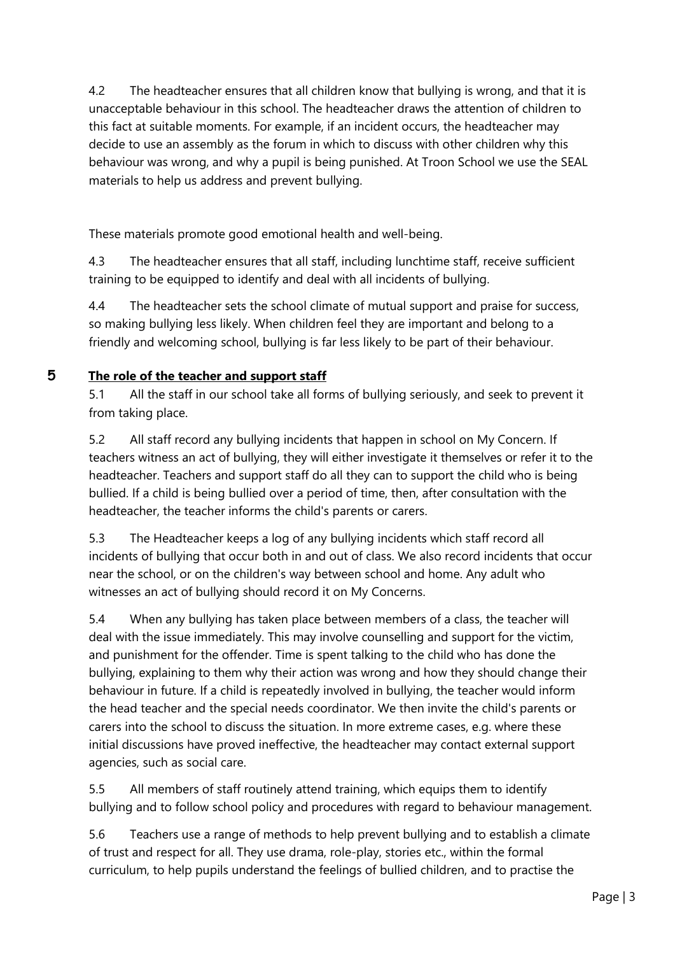4.2 The headteacher ensures that all children know that bullying is wrong, and that it is unacceptable behaviour in this school. The headteacher draws the attention of children to this fact at suitable moments. For example, if an incident occurs, the headteacher may decide to use an assembly as the forum in which to discuss with other children why this behaviour was wrong, and why a pupil is being punished. At Troon School we use the SEAL materials to help us address and prevent bullying.

These materials promote good emotional health and well-being.

4.3 The headteacher ensures that all staff, including lunchtime staff, receive sufficient training to be equipped to identify and deal with all incidents of bullying.

4.4 The headteacher sets the school climate of mutual support and praise for success, so making bullying less likely. When children feel they are important and belong to a friendly and welcoming school, bullying is far less likely to be part of their behaviour.

# **5 The role of the teacher and support staff**

5.1 All the staff in our school take all forms of bullying seriously, and seek to prevent it from taking place.

5.2 All staff record any bullying incidents that happen in school on My Concern. If teachers witness an act of bullying, they will either investigate it themselves or refer it to the headteacher. Teachers and support staff do all they can to support the child who is being bullied. If a child is being bullied over a period of time, then, after consultation with the headteacher, the teacher informs the child's parents or carers.

5.3 The Headteacher keeps a log of any bullying incidents which staff record all incidents of bullying that occur both in and out of class. We also record incidents that occur near the school, or on the children's way between school and home. Any adult who witnesses an act of bullying should record it on My Concerns.

5.4 When any bullying has taken place between members of a class, the teacher will deal with the issue immediately. This may involve counselling and support for the victim, and punishment for the offender. Time is spent talking to the child who has done the bullying, explaining to them why their action was wrong and how they should change their behaviour in future. If a child is repeatedly involved in bullying, the teacher would inform the head teacher and the special needs coordinator. We then invite the child's parents or carers into the school to discuss the situation. In more extreme cases, e.g. where these initial discussions have proved ineffective, the headteacher may contact external support agencies, such as social care.

5.5 All members of staff routinely attend training, which equips them to identify bullying and to follow school policy and procedures with regard to behaviour management.

5.6 Teachers use a range of methods to help prevent bullying and to establish a climate of trust and respect for all. They use drama, role-play, stories etc., within the formal curriculum, to help pupils understand the feelings of bullied children, and to practise the